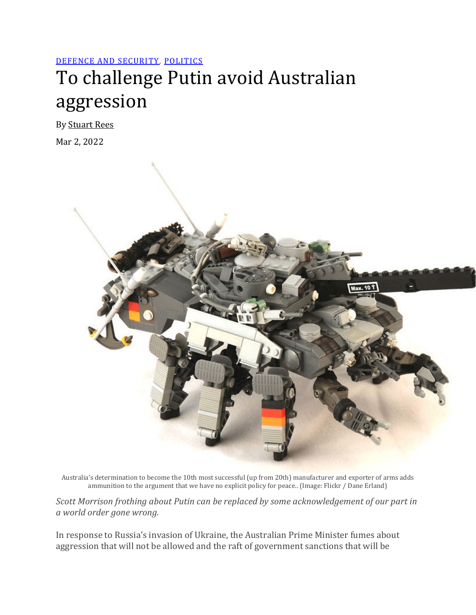## [DEFENCE AND SECURITY,](https://johnmenadue.com/category/defence/) [POLITICS](https://johnmenadue.com/category/politics/)

## To challenge Putin avoid Australian aggression

By [Stuart Rees](https://johnmenadue.com/author/stuart-rees/)

Mar 2, 2022



Australia's determination to become the 10th most successful (up from 20th) manufacturer and exporter of arms adds ammunition to the argument that we have no explicit policy for peace.. (Image: Flickr / Dane Erland)

*Scott Morrison frothing about Putin can be replaced by some acknowledgement of our part in a world order gone wrong.*

In response to Russia's invasion of Ukraine, the Australian Prime Minister fumes about aggression that will not be allowed and the raft of government sanctions that will be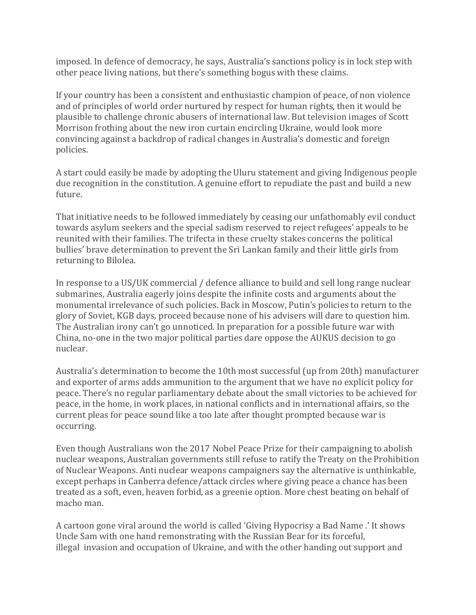imposed. In defence of democracy, he says, Australia's sanctions policy is in lock step with other peace living nations, but there's something bogus with these claims.

If your country has been a consistent and enthusiastic champion of peace, of non violence and of principles of world order nurtured by respect for human rights, then it would be plausible to challenge chronic abusers of international law. But television images of Scott Morrison frothing about the new iron curtain encircling Ukraine, would look more convincing against a backdrop of radical changes in Australia's domestic and foreign policies.

A start could easily be made by adopting the Uluru statement and giving Indigenous people due recognition in the constitution. A genuine effort to repudiate the past and build a new future.

That initiative needs to be followed immediately by ceasing our unfathomably evil conduct towards asylum seekers and the special sadism reserved to reject refugees' appeals to be reunited with their families. The trifecta in these cruelty stakes concerns the political bullies' brave determination to prevent the Sri Lankan family and their little girls from returning to Bilolea.

In response to a US/UK commercial / defence alliance to build and sell long range nuclear submarines, Australia eagerly joins despite the infinite costs and arguments about the monumental irrelevance of such policies. Back in Moscow, Putin's policies to return to the glory of Soviet, KGB days, proceed because none of his advisers will dare to question him. The Australian irony can't go unnoticed. In preparation for a possible future war with China, no-one in the two major political parties dare oppose the AUKUS decision to go nuclear.

Australia's determination to become the 10th most successful (up from 20th) manufacturer and exporter of arms adds ammunition to the argument that we have no explicit policy for peace. There's no regular parliamentary debate about the small victories to be achieved for peace, in the home, in work places, in national conflicts and in international affairs, so the current pleas for peace sound like a too late after thought prompted because war is occurring.

Even though Australians won the 2017 Nobel Peace Prize for their campaigning to abolish nuclear weapons, Australian governments still refuse to ratify the Treaty on the Prohibition of Nuclear Weapons. Anti nuclear weapons campaigners say the alternative is unthinkable, except perhaps in Canberra defence/attack circles where giving peace a chance has been treated as a soft, even, heaven forbid, as a greenie option. More chest beating on behalf of macho man.

A cartoon gone viral around the world is called 'Giving Hypocrisy a Bad Name .' It shows Uncle Sam with one hand remonstrating with the Russian Bear for its forceful, illegal invasion and occupation of Ukraine, and with the other handing out support and